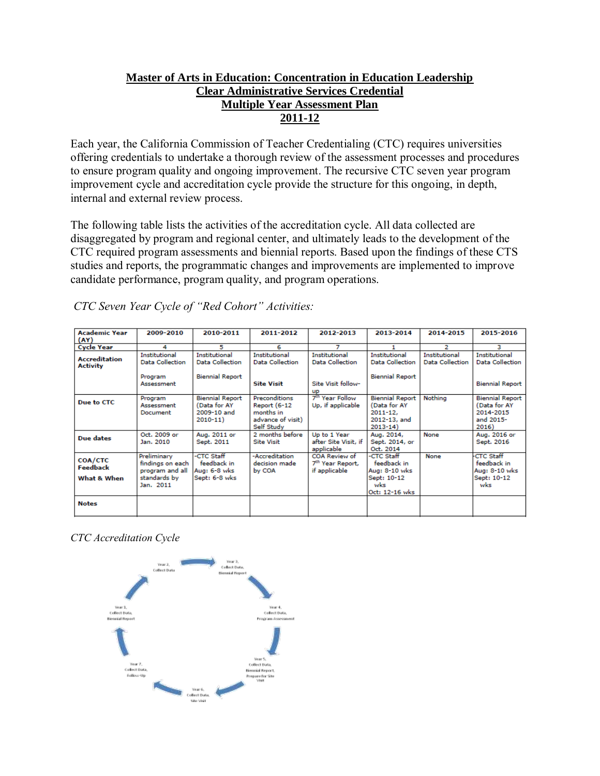# **Master of Arts in Education: Concentration in Education Leadership Clear Administrative Services Credential Multiple Year Assessment Plan 2011-12**

Each year, the California Commission of Teacher Credentialing (CTC) requires universities offering credentials to undertake a thorough review of the assessment processes and procedures to ensure program quality and ongoing improvement. The recursive CTC seven year program improvement cycle and accreditation cycle provide the structure for this ongoing, in depth, internal and external review process.

The following table lists the activities of the accreditation cycle. All data collected are disaggregated by program and regional center, and ultimately leads to the development of the CTC required program assessments and biennial reports. Based upon the findings of these CTS studies and reports, the programmatic changes and improvements are implemented to improve candidate performance, program quality, and program operations.

| <b>Academic Year</b><br>(AY)              | 2009-2010                                                                       | 2010-2011                                                                | 2011-2012                                                                                   | 2012-2013                                                                         | 2013-2014                                                                             | 2014-2015                                      | 2015-2016                                                                 |
|-------------------------------------------|---------------------------------------------------------------------------------|--------------------------------------------------------------------------|---------------------------------------------------------------------------------------------|-----------------------------------------------------------------------------------|---------------------------------------------------------------------------------------|------------------------------------------------|---------------------------------------------------------------------------|
| <b>Cycle Year</b>                         | 4                                                                               | 5                                                                        | 6                                                                                           | 7                                                                                 |                                                                                       | 2                                              | з                                                                         |
| <b>Accreditation</b><br><b>Activity</b>   | Institutional<br><b>Data Collection</b><br>Program<br>Assessment                | <b>Institutional</b><br><b>Data Collection</b><br><b>Biennial Report</b> | Institutional<br><b>Data Collection</b><br><b>Site Visit</b>                                | <b>Institutional</b><br><b>Data Collection</b><br>Site Visit follow-<br><b>UD</b> | Institutional<br><b>Data Collection</b><br><b>Biennial Report</b>                     | <b>Institutional</b><br><b>Data Collection</b> | Institutional<br><b>Data Collection</b><br><b>Biennial Report</b>         |
| Due to CTC                                | Program<br>Assessment<br>Document                                               | <b>Biennial Report</b><br>(Data for AY<br>2009-10 and<br>$2010 - 11$     | <b>Preconditions</b><br><b>Report (6-12</b><br>months in<br>advance of visit)<br>Self Study | 7 <sup>th</sup> Year Follow<br>Up, if applicable                                  | <b>Biennial Report</b><br>(Data for AY<br>$2011 - 12.$<br>2012-13, and<br>$2013 - 14$ | Nothing                                        | <b>Biennial Report</b><br>(Data for AY<br>2014-2015<br>and 2015-<br>2016) |
| Due dates                                 | Oct. 2009 or<br>Jan. 2010                                                       | Aug. 2011 or<br>Sept. 2011                                               | 2 months before<br><b>Site Visit</b>                                                        | Up to 1 Year<br>after Site Visit, if<br>applicable                                | Aug. 2014,<br>Sept. 2014, or<br>Oct. 2014                                             | None                                           | Aug. 2016 or<br>Sept. 2016                                                |
| COA/CTC<br><b>Feedback</b><br>What & When | Preliminary<br>findings on each<br>program and all<br>standards by<br>Jan. 2011 | -CTC Staff<br>feedback in<br>Aug: 6-8 wks<br>Sept: 6-8 wks               | -Accreditation<br>decision made<br>by COA                                                   | COA Review of<br>7 <sup>th</sup> Year Report,<br>if applicable                    | -CTC Staff<br>feedback in<br>Aug: 8-10 wks<br>Sept: 10-12<br>wks<br>Oct: 12-16 wks    | None                                           | <b>CTC Staff</b><br>feedback in<br>Aug: 8-10 wks<br>Sept: 10-12<br>wks    |
| <b>Notes</b>                              |                                                                                 |                                                                          |                                                                                             |                                                                                   |                                                                                       |                                                |                                                                           |

*CTC Seven Year Cycle of "Red Cohort" Activities:*

*CTC Accreditation Cycle*

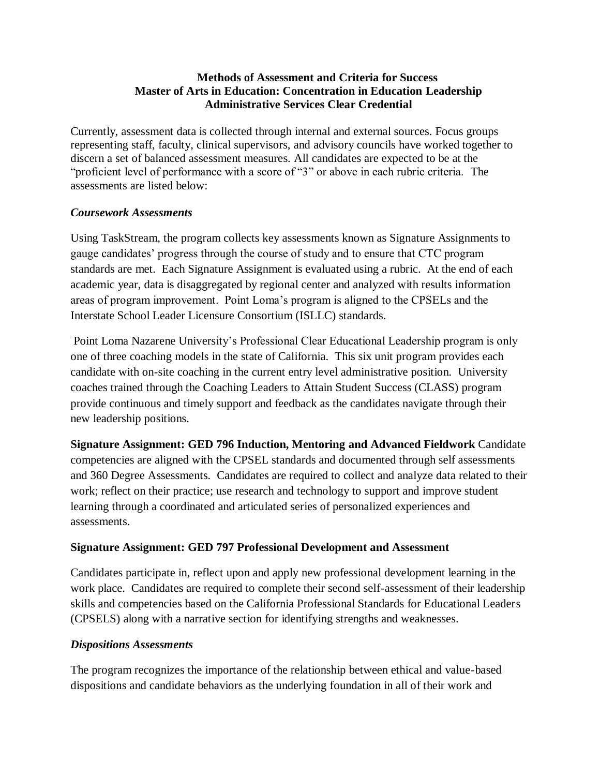# **Methods of Assessment and Criteria for Success Master of Arts in Education: Concentration in Education Leadership Administrative Services Clear Credential**

Currently, assessment data is collected through internal and external sources. Focus groups representing staff, faculty, clinical supervisors, and advisory councils have worked together to discern a set of balanced assessment measures. All candidates are expected to be at the "proficient level of performance with a score of "3" or above in each rubric criteria. The assessments are listed below:

# *Coursework Assessments*

Using TaskStream, the program collects key assessments known as Signature Assignments to gauge candidates' progress through the course of study and to ensure that CTC program standards are met. Each Signature Assignment is evaluated using a rubric. At the end of each academic year, data is disaggregated by regional center and analyzed with results information areas of program improvement. Point Loma's program is aligned to the CPSELs and the Interstate School Leader Licensure Consortium (ISLLC) standards.

Point Loma Nazarene University's Professional Clear Educational Leadership program is only one of three coaching models in the state of California. This six unit program provides each candidate with on-site coaching in the current entry level administrative position. University coaches trained through the Coaching Leaders to Attain Student Success (CLASS) program provide continuous and timely support and feedback as the candidates navigate through their new leadership positions.

**Signature Assignment: GED 796 Induction, Mentoring and Advanced Fieldwork** Candidate competencies are aligned with the CPSEL standards and documented through self assessments and 360 Degree Assessments. Candidates are required to collect and analyze data related to their work; reflect on their practice; use research and technology to support and improve student learning through a coordinated and articulated series of personalized experiences and assessments.

# **Signature Assignment: GED 797 Professional Development and Assessment**

Candidates participate in, reflect upon and apply new professional development learning in the work place. Candidates are required to complete their second self-assessment of their leadership skills and competencies based on the California Professional Standards for Educational Leaders (CPSELS) along with a narrative section for identifying strengths and weaknesses.

# *Dispositions Assessments*

The program recognizes the importance of the relationship between ethical and value-based dispositions and candidate behaviors as the underlying foundation in all of their work and